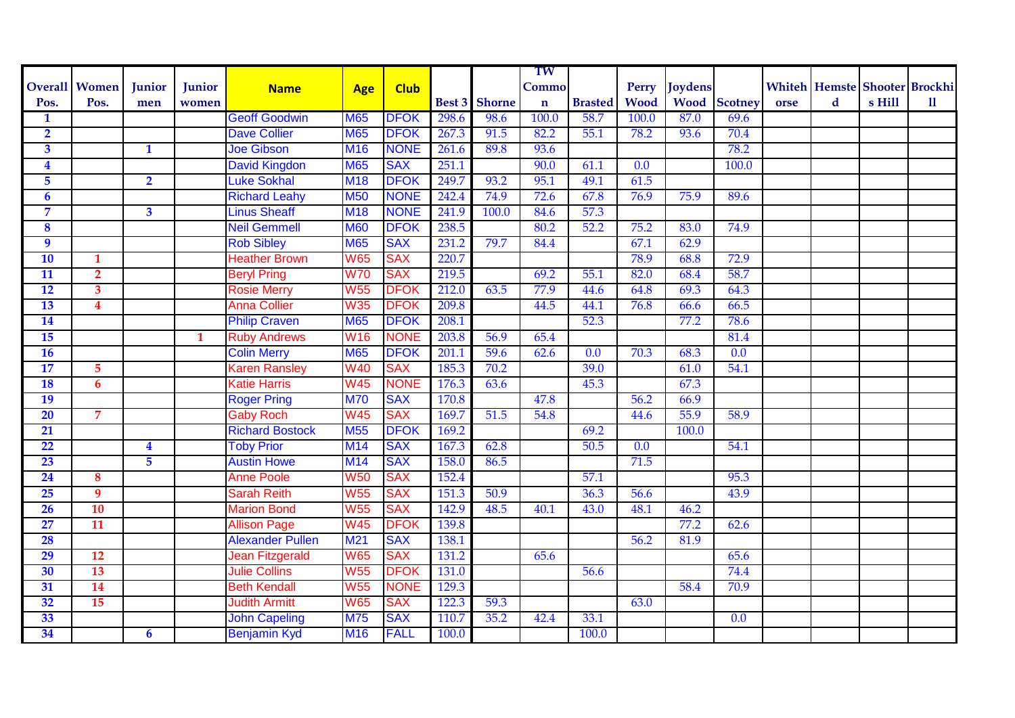|                         |                         |                         |        |                         |                 |             |       |                      | TW          |                  |                  |                |                     |      |             |        |                                      |
|-------------------------|-------------------------|-------------------------|--------|-------------------------|-----------------|-------------|-------|----------------------|-------------|------------------|------------------|----------------|---------------------|------|-------------|--------|--------------------------------------|
|                         | <b>Overall Women</b>    | Junior                  | Junior | <b>Name</b>             | <b>Age</b>      | <b>Club</b> |       |                      | Commo       |                  | Perry            | <b>Joydens</b> |                     |      |             |        | <b>Whiteh Hemste Shooter Brockhi</b> |
| Pos.                    | Pos.                    | men                     | women  |                         |                 |             |       | <b>Best 3 Shorne</b> | $\mathbf n$ | <b>Brasted</b>   | <b>Wood</b>      |                | <b>Wood</b> Scotney | orse | $\mathbf d$ | s Hill | 11                                   |
| 1                       |                         |                         |        | <b>Geoff Goodwin</b>    | <b>M65</b>      | <b>DFOK</b> | 298.6 | 98.6                 | 100.0       | 58.7             | 100.0            | 87.0           | 69.6                |      |             |        |                                      |
| $\overline{\mathbf{2}}$ |                         |                         |        | <b>Dave Collier</b>     | <b>M65</b>      | <b>DFOK</b> | 267.3 | 91.5                 | 82.2        | 55.1             | 78.2             | 93.6           | 70.4                |      |             |        |                                      |
| $\overline{\mathbf{3}}$ |                         | $\mathbf{1}$            |        | <b>Joe Gibson</b>       | <b>M16</b>      | <b>NONE</b> | 261.6 | 89.8                 | 93.6        |                  |                  |                | 78.2                |      |             |        |                                      |
| $\overline{\mathbf{4}}$ |                         |                         |        | <b>David Kingdon</b>    | <b>M65</b>      | <b>SAX</b>  | 251.1 |                      | 90.0        | 61.1             | 0.0              |                | 100.0               |      |             |        |                                      |
| 5                       |                         | $\overline{2}$          |        | <b>Luke Sokhal</b>      | <b>M18</b>      | <b>DFOK</b> | 249.7 | 93.2                 | 95.1        | 49.1             | 61.5             |                |                     |      |             |        |                                      |
| $\overline{6}$          |                         |                         |        | <b>Richard Leahy</b>    | <b>M50</b>      | <b>NONE</b> | 242.4 | 74.9                 | 72.6        | 67.8             | 76.9             | 75.9           | 89.6                |      |             |        |                                      |
| 7                       |                         | $\overline{\mathbf{3}}$ |        | <b>Linus Sheaff</b>     | <b>M18</b>      | <b>NONE</b> | 241.9 | 100.0                | 84.6        | 57.3             |                  |                |                     |      |             |        |                                      |
| 8                       |                         |                         |        | <b>Neil Gemmell</b>     | <b>M60</b>      | <b>DFOK</b> | 238.5 |                      | 80.2        | 52.2             | 75.2             | 83.0           | 74.9                |      |             |        |                                      |
| $\overline{9}$          |                         |                         |        | <b>Rob Sibley</b>       | <b>M65</b>      | <b>SAX</b>  | 231.2 | 79.7                 | 84.4        |                  | 67.1             | 62.9           |                     |      |             |        |                                      |
| $\overline{10}$         | 1                       |                         |        | <b>Heather Brown</b>    | <b>W65</b>      | <b>SAX</b>  | 220.7 |                      |             |                  | 78.9             | 68.8           | 72.9                |      |             |        |                                      |
| $\overline{11}$         | $\overline{\mathbf{2}}$ |                         |        | <b>Beryl Pring</b>      | <b>W70</b>      | <b>SAX</b>  | 219.5 |                      | 69.2        | 55.1             | 82.0             | 68.4           | 58.7                |      |             |        |                                      |
| 12                      | $\overline{\mathbf{3}}$ |                         |        | <b>Rosie Merry</b>      | <b>W55</b>      | <b>DFOK</b> | 212.0 | 63.5                 | 77.9        | 44.6             | 64.8             | 69.3           | 64.3                |      |             |        |                                      |
| 13                      | $\overline{\mathbf{4}}$ |                         |        | <b>Anna Collier</b>     | <b>W35</b>      | <b>DFOK</b> | 209.8 |                      | 44.5        | 44.1             | 76.8             | 66.6           | 66.5                |      |             |        |                                      |
| 14                      |                         |                         |        | <b>Philip Craven</b>    | <b>M65</b>      | <b>DFOK</b> | 208.1 |                      |             | 52.3             |                  | 77.2           | 78.6                |      |             |        |                                      |
| 15                      |                         |                         | 1      | <b>Ruby Andrews</b>     | <b>W16</b>      | <b>NONE</b> | 203.8 | 56.9                 | 65.4        |                  |                  |                | 81.4                |      |             |        |                                      |
| <b>16</b>               |                         |                         |        | <b>Colin Merry</b>      | <b>M65</b>      | <b>DFOK</b> | 201.1 | 59.6                 | 62.6        | $\overline{0.0}$ | 70.3             | 68.3           | $\overline{0.0}$    |      |             |        |                                      |
| $\overline{17}$         | 5                       |                         |        | Karen Ransley           | <b>W40</b>      | <b>SAX</b>  | 185.3 | 70.2                 |             | 39.0             |                  | 61.0           | 54.1                |      |             |        |                                      |
| 18                      | $6\phantom{1}6$         |                         |        | Katie Harris            | <b>W45</b>      | <b>NONE</b> | 176.3 | 63.6                 |             | 45.3             |                  | 67.3           |                     |      |             |        |                                      |
| 19                      |                         |                         |        | <b>Roger Pring</b>      | <b>M70</b>      | <b>SAX</b>  | 170.8 |                      | 47.8        |                  | 56.2             | 66.9           |                     |      |             |        |                                      |
| 20                      | $\overline{7}$          |                         |        | <b>Gaby Roch</b>        | <b>W45</b>      | <b>SAX</b>  | 169.7 | 51.5                 | 54.8        |                  | 44.6             | 55.9           | 58.9                |      |             |        |                                      |
| 21                      |                         |                         |        | <b>Richard Bostock</b>  | <b>M55</b>      | <b>DFOK</b> | 169.2 |                      |             | 69.2             |                  | 100.0          |                     |      |             |        |                                      |
| 22                      |                         | $\overline{\mathbf{4}}$ |        | <b>Toby Prior</b>       | M14             | <b>SAX</b>  | 167.3 | 62.8                 |             | 50.5             | $\overline{0.0}$ |                | 54.1                |      |             |        |                                      |
| 23                      |                         | 5                       |        | <b>Austin Howe</b>      | M14             | <b>SAX</b>  | 158.0 | 86.5                 |             |                  | 71.5             |                |                     |      |             |        |                                      |
| $\overline{24}$         | 8                       |                         |        | <b>Anne Poole</b>       | <b>W50</b>      | <b>SAX</b>  | 152.4 |                      |             | 57.1             |                  |                | 95.3                |      |             |        |                                      |
| 25                      | 9                       |                         |        | <b>Sarah Reith</b>      | <b>W55</b>      | <b>SAX</b>  | 151.3 | 50.9                 |             | 36.3             | 56.6             |                | 43.9                |      |             |        |                                      |
| 26                      | 10                      |                         |        | <b>Marion Bond</b>      | <b>W55</b>      | <b>SAX</b>  | 142.9 | 48.5                 | 40.1        | 43.0             | 48.1             | 46.2           |                     |      |             |        |                                      |
| 27                      | 11                      |                         |        | <b>Allison Page</b>     | <b>W45</b>      | <b>DFOK</b> | 139.8 |                      |             |                  |                  | 77.2           | 62.6                |      |             |        |                                      |
| 28                      |                         |                         |        | <b>Alexander Pullen</b> | M <sub>21</sub> | <b>SAX</b>  | 138.1 |                      |             |                  | 56.2             | 81.9           |                     |      |             |        |                                      |
| $\overline{29}$         | 12                      |                         |        | <b>Jean Fitzgerald</b>  | <b>W65</b>      | <b>SAX</b>  | 131.2 |                      | 65.6        |                  |                  |                | 65.6                |      |             |        |                                      |
| 30                      | 13                      |                         |        | <b>Julie Collins</b>    | <b>W55</b>      | <b>DFOK</b> | 131.0 |                      |             | 56.6             |                  |                | 74.4                |      |             |        |                                      |
| 31                      | 14                      |                         |        | <b>Beth Kendall</b>     | <b>W55</b>      | <b>NONE</b> | 129.3 |                      |             |                  |                  | 58.4           | 70.9                |      |             |        |                                      |
| 32                      | 15                      |                         |        | <b>Judith Armitt</b>    | <b>W65</b>      | <b>SAX</b>  | 122.3 | 59.3                 |             |                  | 63.0             |                |                     |      |             |        |                                      |
| 33                      |                         |                         |        | <b>John Capeling</b>    | <b>M75</b>      | <b>SAX</b>  | 110.7 | 35.2                 | 42.4        | 33.1             |                  |                | 0.0                 |      |             |        |                                      |
| 34                      |                         | $\boldsymbol{6}$        |        | <b>Benjamin Kyd</b>     | <b>M16</b>      | <b>FALL</b> | 100.0 |                      |             | 100.0            |                  |                |                     |      |             |        |                                      |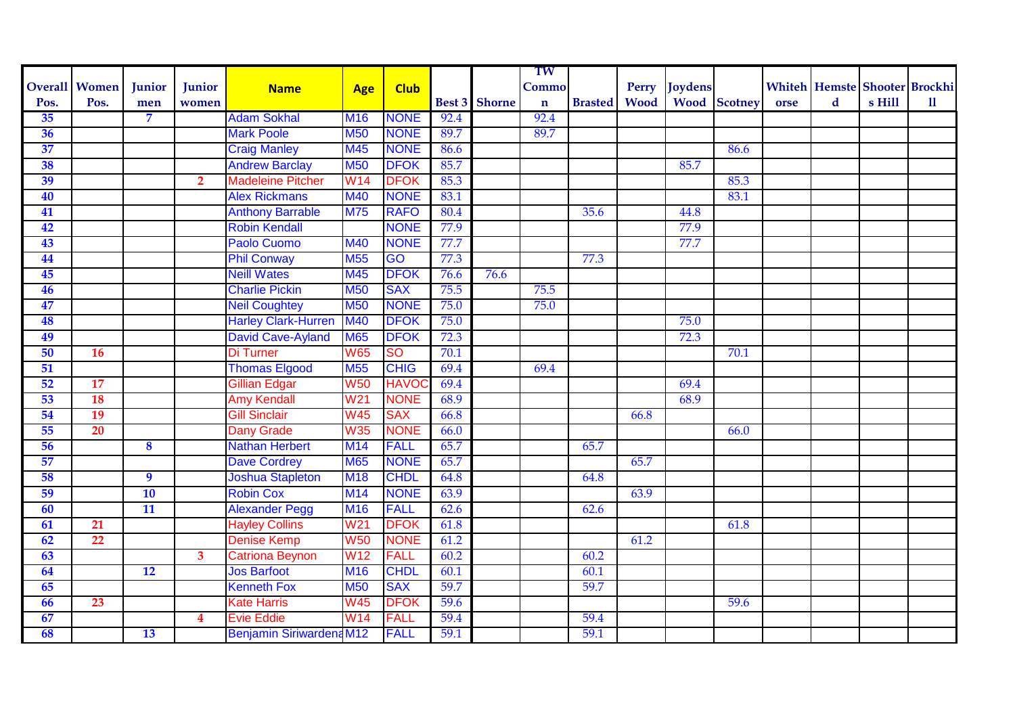|      |                      |                 |                         |                                 |                  |              |      |                      | TW          |                     |      |               |                     |      |   |        |                                      |
|------|----------------------|-----------------|-------------------------|---------------------------------|------------------|--------------|------|----------------------|-------------|---------------------|------|---------------|---------------------|------|---|--------|--------------------------------------|
|      | <b>Overall Women</b> | Junior          | Junior                  | <b>Name</b>                     | Age              | <b>Club</b>  |      |                      | Commo       |                     |      | Perry Joydens |                     |      |   |        | <b>Whiteh Hemste Shooter Brockhi</b> |
| Pos. | Pos.                 | men             | women                   |                                 |                  |              |      | <b>Best 3</b> Shorne | $\mathbf n$ | <b>Brasted</b> Wood |      |               | <b>Wood</b> Scotney | orse | d | s Hill | $\mathbf{u}$                         |
| 35   |                      | 7               |                         | <b>Adam Sokhal</b>              | <b>M16</b>       | <b>NONE</b>  | 92.4 |                      | 92.4        |                     |      |               |                     |      |   |        |                                      |
| 36   |                      |                 |                         | <b>Mark Poole</b>               | <b>M50</b>       | <b>NONE</b>  | 89.7 |                      | 89.7        |                     |      |               |                     |      |   |        |                                      |
| 37   |                      |                 |                         | <b>Craig Manley</b>             | M45              | <b>NONE</b>  | 86.6 |                      |             |                     |      |               | 86.6                |      |   |        |                                      |
| 38   |                      |                 |                         | <b>Andrew Barclay</b>           | <b>M50</b>       | <b>DFOK</b>  | 85.7 |                      |             |                     |      | 85.7          |                     |      |   |        |                                      |
| 39   |                      |                 | $\overline{2}$          | <b>Madeleine Pitcher</b>        | W14              | <b>DFOK</b>  | 85.3 |                      |             |                     |      |               | 85.3                |      |   |        |                                      |
| 40   |                      |                 |                         | <b>Alex Rickmans</b>            | M40              | <b>NONE</b>  | 83.1 |                      |             |                     |      |               | 83.1                |      |   |        |                                      |
| 41   |                      |                 |                         | <b>Anthony Barrable</b>         | <b>M75</b>       | <b>RAFO</b>  | 80.4 |                      |             | 35.6                |      | 44.8          |                     |      |   |        |                                      |
| 42   |                      |                 |                         | <b>Robin Kendall</b>            |                  | <b>NONE</b>  | 77.9 |                      |             |                     |      | 77.9          |                     |      |   |        |                                      |
| 43   |                      |                 |                         | <b>Paolo Cuomo</b>              | M40              | <b>NONE</b>  | 77.7 |                      |             |                     |      | 77.7          |                     |      |   |        |                                      |
| 44   |                      |                 |                         | <b>Phil Conway</b>              | M <sub>55</sub>  | GO           | 77.3 |                      |             | 77.3                |      |               |                     |      |   |        |                                      |
| 45   |                      |                 |                         | <b>Neill Wates</b>              | M45              | <b>DFOK</b>  | 76.6 | 76.6                 |             |                     |      |               |                     |      |   |        |                                      |
| 46   |                      |                 |                         | <b>Charlie Pickin</b>           | <b>M50</b>       | <b>SAX</b>   | 75.5 |                      | 75.5        |                     |      |               |                     |      |   |        |                                      |
| 47   |                      |                 |                         | <b>Neil Coughtey</b>            | <b>M50</b>       | <b>NONE</b>  | 75.0 |                      | 75.0        |                     |      |               |                     |      |   |        |                                      |
| 48   |                      |                 |                         | <b>Harley Clark-Hurren</b>      | <b>M40</b>       | <b>DFOK</b>  | 75.0 |                      |             |                     |      | 75.0          |                     |      |   |        |                                      |
| 49   |                      |                 |                         | <b>David Cave-Ayland</b>        | <b>M65</b>       | <b>DFOK</b>  | 72.3 |                      |             |                     |      | 72.3          |                     |      |   |        |                                      |
| 50   | <b>16</b>            |                 |                         | Di Turner                       | <b>W65</b>       | <b>SO</b>    | 70.1 |                      |             |                     |      |               | 70.1                |      |   |        |                                      |
| 51   |                      |                 |                         | <b>Thomas Elgood</b>            | <b>M55</b>       | <b>CHIG</b>  | 69.4 |                      | 69.4        |                     |      |               |                     |      |   |        |                                      |
| 52   | 17                   |                 |                         | <b>Gillian Edgar</b>            | <b>W50</b>       | <b>HAVOC</b> | 69.4 |                      |             |                     |      | 69.4          |                     |      |   |        |                                      |
| 53   | 18                   |                 |                         | <b>Amy Kendall</b>              | W21              | <b>NONE</b>  | 68.9 |                      |             |                     |      | 68.9          |                     |      |   |        |                                      |
| 54   | 19                   |                 |                         | <b>Gill Sinclair</b>            | <b>W45</b>       | <b>SAX</b>   | 66.8 |                      |             |                     | 66.8 |               |                     |      |   |        |                                      |
| 55   | 20                   |                 |                         | <b>Dany Grade</b>               | <b>W35</b>       | <b>NONE</b>  | 66.0 |                      |             |                     |      |               | 66.0                |      |   |        |                                      |
| 56   |                      | 8               |                         | <b>Nathan Herbert</b>           | M <sub>14</sub>  | <b>FALL</b>  | 65.7 |                      |             | 65.7                |      |               |                     |      |   |        |                                      |
| 57   |                      |                 |                         | <b>Dave Cordrey</b>             | <b>M65</b>       | <b>NONE</b>  | 65.7 |                      |             |                     | 65.7 |               |                     |      |   |        |                                      |
| 58   |                      | $\overline{9}$  |                         | <b>Joshua Stapleton</b>         | <b>M18</b>       | <b>CHDL</b>  | 64.8 |                      |             | 64.8                |      |               |                     |      |   |        |                                      |
| 59   |                      | 10              |                         | <b>Robin Cox</b>                | M14              | <b>NONE</b>  | 63.9 |                      |             |                     | 63.9 |               |                     |      |   |        |                                      |
| 60   |                      | 11              |                         | <b>Alexander Pegg</b>           | <b>M16</b>       | <b>FALL</b>  | 62.6 |                      |             | 62.6                |      |               |                     |      |   |        |                                      |
| 61   | 21                   |                 |                         | <b>Hayley Collins</b>           | $\overline{W21}$ | <b>DFOK</b>  | 61.8 |                      |             |                     |      |               | 61.8                |      |   |        |                                      |
| 62   | $\overline{22}$      |                 |                         | <b>Denise Kemp</b>              | <b>W50</b>       | <b>NONE</b>  | 61.2 |                      |             |                     | 61.2 |               |                     |      |   |        |                                      |
| 63   |                      |                 | 3                       | <b>Catriona Beynon</b>          | W <sub>12</sub>  | <b>FALL</b>  | 60.2 |                      |             | 60.2                |      |               |                     |      |   |        |                                      |
| 64   |                      | $\overline{12}$ |                         | <b>Jos Barfoot</b>              | M <sub>16</sub>  | <b>CHDL</b>  | 60.1 |                      |             | 60.1                |      |               |                     |      |   |        |                                      |
| 65   |                      |                 |                         | <b>Kenneth Fox</b>              | <b>M50</b>       | <b>SAX</b>   | 59.7 |                      |             | 59.7                |      |               |                     |      |   |        |                                      |
| 66   | 23                   |                 |                         | <b>Kate Harris</b>              | <b>W45</b>       | <b>DFOK</b>  | 59.6 |                      |             |                     |      |               | 59.6                |      |   |        |                                      |
| 67   |                      |                 | $\overline{\mathbf{4}}$ | <b>Evie Eddie</b>               | W <sub>14</sub>  | <b>FALL</b>  | 59.4 |                      |             | 59.4                |      |               |                     |      |   |        |                                      |
| 68   |                      | 13              |                         | <b>Benjamin Siriwardena M12</b> |                  | <b>FALL</b>  | 59.1 |                      |             | 59.1                |      |               |                     |      |   |        |                                      |
|      |                      |                 |                         |                                 |                  |              |      |                      |             |                     |      |               |                     |      |   |        |                                      |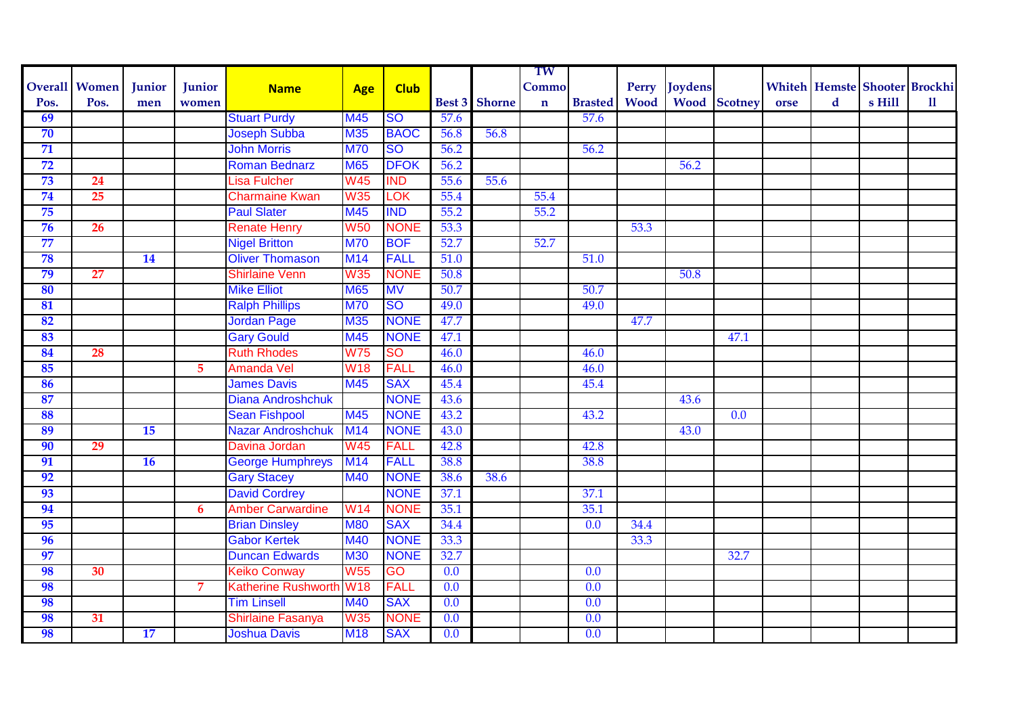|                 |                      |           |                |                            |            |             |      |                      | TW          |                |             |               |                     |      |   |                                      |              |
|-----------------|----------------------|-----------|----------------|----------------------------|------------|-------------|------|----------------------|-------------|----------------|-------------|---------------|---------------------|------|---|--------------------------------------|--------------|
|                 | <b>Overall Women</b> | Junior    | Junior         | <b>Name</b>                | <b>Age</b> | <b>Club</b> |      |                      | Commo       |                |             | Perry Joydens |                     |      |   | <b>Whiteh Hemste Shooter Brockhi</b> |              |
| Pos.            | Pos.                 | men       | women          |                            |            |             |      | <b>Best 3</b> Shorne | $\mathbf n$ | <b>Brasted</b> | <b>Wood</b> |               | <b>Wood</b> Scotney | orse | d | s Hill                               | $\mathbf{u}$ |
| 69              |                      |           |                | <b>Stuart Purdy</b>        | <b>M45</b> | <b>SO</b>   | 57.6 |                      |             | 57.6           |             |               |                     |      |   |                                      |              |
| 70              |                      |           |                | <b>Joseph Subba</b>        | M35        | <b>BAOC</b> | 56.8 | 56.8                 |             |                |             |               |                     |      |   |                                      |              |
| $\overline{71}$ |                      |           |                | <b>John Morris</b>         | <b>M70</b> | <b>SO</b>   | 56.2 |                      |             | 56.2           |             |               |                     |      |   |                                      |              |
| 72              |                      |           |                | <b>Roman Bednarz</b>       | <b>M65</b> | <b>DFOK</b> | 56.2 |                      |             |                |             | 56.2          |                     |      |   |                                      |              |
| 73              | 24                   |           |                | Lisa Fulcher               | <b>W45</b> | <b>IND</b>  | 55.6 | 55.6                 |             |                |             |               |                     |      |   |                                      |              |
| 74              | 25                   |           |                | <b>Charmaine Kwan</b>      | <b>W35</b> | <b>TOK</b>  | 55.4 |                      | 55.4        |                |             |               |                     |      |   |                                      |              |
| 75              |                      |           |                | <b>Paul Slater</b>         | <b>M45</b> | <b>IND</b>  | 55.2 |                      | 55.2        |                |             |               |                     |      |   |                                      |              |
| 76              | 26                   |           |                | <b>Renate Henry</b>        | <b>W50</b> | <b>NONE</b> | 53.3 |                      |             |                | 53.3        |               |                     |      |   |                                      |              |
| 77              |                      |           |                | <b>Nigel Britton</b>       | <b>M70</b> | <b>BOF</b>  | 52.7 |                      | 52.7        |                |             |               |                     |      |   |                                      |              |
| 78              |                      | 14        |                | <b>Oliver Thomason</b>     | <b>M14</b> | <b>FALL</b> | 51.0 |                      |             | 51.0           |             |               |                     |      |   |                                      |              |
| 79              | 27                   |           |                | <b>Shirlaine Venn</b>      | <b>W35</b> | <b>NONE</b> | 50.8 |                      |             |                |             | 50.8          |                     |      |   |                                      |              |
| 80              |                      |           |                | <b>Mike Elliot</b>         | <b>M65</b> | <b>MV</b>   | 50.7 |                      |             | 50.7           |             |               |                     |      |   |                                      |              |
| 81              |                      |           |                | <b>Ralph Phillips</b>      | <b>M70</b> | <b>SO</b>   | 49.0 |                      |             | 49.0           |             |               |                     |      |   |                                      |              |
| 82              |                      |           |                | <b>Jordan Page</b>         | <b>M35</b> | <b>NONE</b> | 47.7 |                      |             |                | 47.7        |               |                     |      |   |                                      |              |
| 83              |                      |           |                | <b>Gary Gould</b>          | M45        | <b>NONE</b> | 47.1 |                      |             |                |             |               | 47.1                |      |   |                                      |              |
| 84              | 28                   |           |                | <b>Ruth Rhodes</b>         | <b>W75</b> | <b>SO</b>   | 46.0 |                      |             | 46.0           |             |               |                     |      |   |                                      |              |
| 85              |                      |           | $\overline{5}$ | <b>Amanda Vel</b>          | <b>W18</b> | <b>FALL</b> | 46.0 |                      |             | 46.0           |             |               |                     |      |   |                                      |              |
| 86              |                      |           |                | <b>James Davis</b>         | M45        | <b>SAX</b>  | 45.4 |                      |             | 45.4           |             |               |                     |      |   |                                      |              |
| 87              |                      |           |                | <b>Diana Androshchuk</b>   |            | <b>NONE</b> | 43.6 |                      |             |                |             | 43.6          |                     |      |   |                                      |              |
| 88              |                      |           |                | <b>Sean Fishpool</b>       | <b>M45</b> | <b>NONE</b> | 43.2 |                      |             | 43.2           |             |               | $\overline{0.0}$    |      |   |                                      |              |
| 89              |                      | 15        |                | <b>Nazar Androshchuk</b>   | M14        | <b>NONE</b> | 43.0 |                      |             |                |             | 43.0          |                     |      |   |                                      |              |
| 90              | 29                   |           |                | Davina Jordan              | <b>W45</b> | <b>FALL</b> | 42.8 |                      |             | 42.8           |             |               |                     |      |   |                                      |              |
| 91              |                      | <b>16</b> |                | <b>George Humphreys</b>    | <b>M14</b> | <b>FALL</b> | 38.8 |                      |             | 38.8           |             |               |                     |      |   |                                      |              |
| 92              |                      |           |                | <b>Gary Stacey</b>         | <b>M40</b> | <b>NONE</b> | 38.6 | 38.6                 |             |                |             |               |                     |      |   |                                      |              |
| 93              |                      |           |                | <b>David Cordrey</b>       |            | <b>NONE</b> | 37.1 |                      |             | 37.1           |             |               |                     |      |   |                                      |              |
| 94              |                      |           | 6              | <b>Amber Carwardine</b>    | <b>W14</b> | <b>NONE</b> | 35.1 |                      |             | 35.1           |             |               |                     |      |   |                                      |              |
| 95              |                      |           |                | <b>Brian Dinsley</b>       | <b>M80</b> | <b>SAX</b>  | 34.4 |                      |             | 0.0            | 34.4        |               |                     |      |   |                                      |              |
| 96              |                      |           |                | <b>Gabor Kertek</b>        | <b>M40</b> | <b>NONE</b> | 33.3 |                      |             |                | 33.3        |               |                     |      |   |                                      |              |
| 97              |                      |           |                | <b>Duncan Edwards</b>      | <b>M30</b> | <b>NONE</b> | 32.7 |                      |             |                |             |               | 32.7                |      |   |                                      |              |
| 98              | 30                   |           |                | <b>Keiko Conway</b>        | <b>W55</b> | GO          | 0.0  |                      |             | 0.0            |             |               |                     |      |   |                                      |              |
| 98              |                      |           | $\overline{7}$ | <b>Katherine Rushworth</b> | <b>W18</b> | <b>FALL</b> | 0.0  |                      |             | 0.0            |             |               |                     |      |   |                                      |              |
| 98              |                      |           |                | <b>Tim Linsell</b>         | <b>M40</b> | <b>SAX</b>  | 0.0  |                      |             | 0.0            |             |               |                     |      |   |                                      |              |
| 98              | 31                   |           |                | Shirlaine Fasanya          | <b>W35</b> | <b>NONE</b> | 0.0  |                      |             | 0.0            |             |               |                     |      |   |                                      |              |
| 98              |                      | 17        |                | <b>Joshua Davis</b>        | <b>M18</b> | <b>SAX</b>  | 0.0  |                      |             | 0.0            |             |               |                     |      |   |                                      |              |
|                 |                      |           |                |                            |            |             |      |                      |             |                |             |               |                     |      |   |                                      |              |